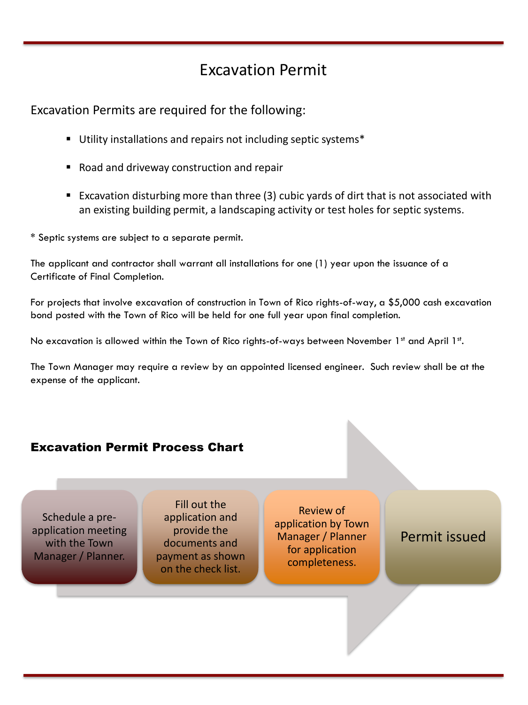## Excavation Permit

Excavation Permits are required for the following:

- Utility installations and repairs not including septic systems<sup>\*</sup>
- Road and driveway construction and repair
- Excavation disturbing more than three (3) cubic yards of dirt that is not associated with an existing building permit, a landscaping activity or test holes for septic systems.

\* Septic systems are subject to a separate permit.

The applicant and contractor shall warrant all installations for one (1) year upon the issuance of a Certificate of Final Completion.

For projects that involve excavation of construction in Town of Rico rights-of-way, a \$5,000 cash excavation bond posted with the Town of Rico will be held for one full year upon final completion.

No excavation is allowed within the Town of Rico rights-of-ways between November 1st and April 1st.

The Town Manager may require a review by an appointed licensed engineer. Such review shall be at the expense of the applicant.

## Excavation Permit Process Chart

Schedule a preapplication meeting with the Town Manager / Planner.

Fill out the application and provide the documents and payment as shown on the check list.

Review of application by Town Manager / Planner for application completeness.

Permit issued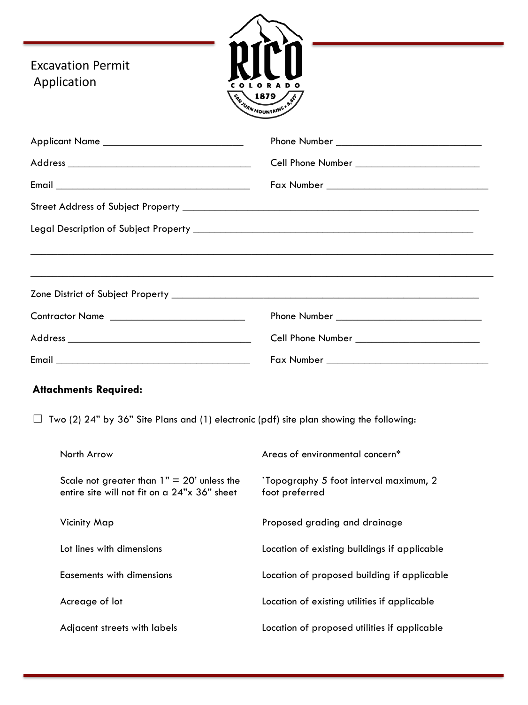| <b>Excavation Permit</b> |
|--------------------------|
| Application              |



| Applicant Name ______________________________ |                                                                                   |  |
|-----------------------------------------------|-----------------------------------------------------------------------------------|--|
|                                               | Cell Phone Number ____________________________                                    |  |
|                                               |                                                                                   |  |
|                                               |                                                                                   |  |
|                                               |                                                                                   |  |
|                                               | <u>,这就是这个人的人,我们就是这个人的人,我们就是这个人的人,我们就是这个人的人,我们就是这个人的人,我们就是这个人的人,我们就是这个人的人,我们就是</u> |  |
|                                               | ,我们也不能在这里的时候,我们也不能在这里的时候,我们也不能不能不能不能不能不能不能不能不能不能不能不能不能不能不能。""我们的是,我们也不能不能不能不能不能不能 |  |
|                                               |                                                                                   |  |
| Contractor Name                               |                                                                                   |  |
|                                               |                                                                                   |  |
|                                               |                                                                                   |  |
| <b>Attachments Required:</b>                  |                                                                                   |  |

 $\Box$  Two (2) 24" by 36" Site Plans and (1) electronic (pdf) site plan showing the following:

| North Arrow                                                                                  | Areas of environmental concern <sup>*</sup>              |
|----------------------------------------------------------------------------------------------|----------------------------------------------------------|
| Scale not greater than $1" = 20'$ unless the<br>entire site will not fit on a 24"x 36" sheet | `Topography 5 foot interval maximum, 2<br>foot preferred |
| Vicinity Map                                                                                 | Proposed grading and drainage                            |
| Lot lines with dimensions                                                                    | Location of existing buildings if applicable             |
| Easements with dimensions                                                                    | Location of proposed building if applicable              |
| Acreage of lot                                                                               | Location of existing utilities if applicable             |
| Adjacent streets with labels                                                                 | Location of proposed utilities if applicable             |